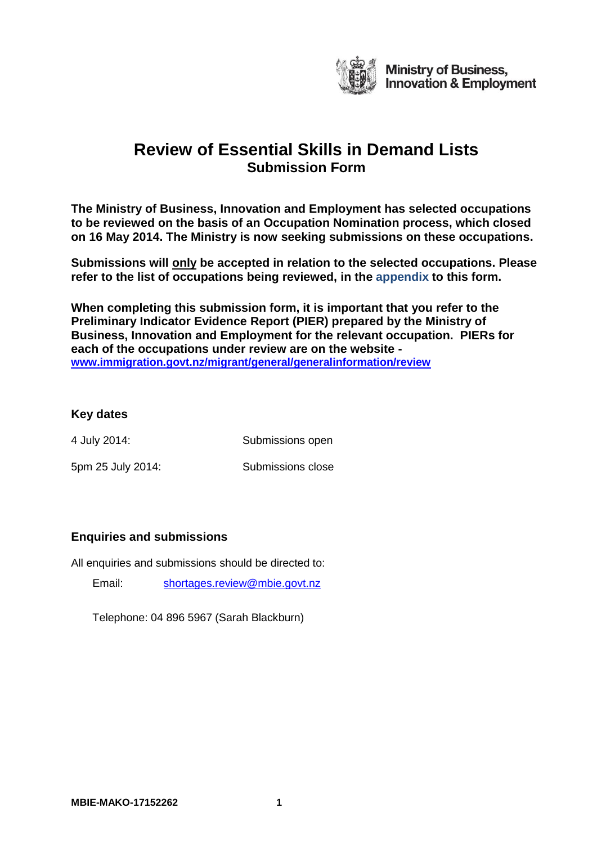

**The Ministry of Business, Innovation and Employment has selected occupations to be reviewed on the basis of an Occupation Nomination process, which closed on 16 May 2014. The Ministry is now seeking submissions on these occupations.**

**Submissions will only be accepted in relation to the selected occupations. Please refer to the list of occupations being reviewed, in the appendix to this form.**

**When completing this submission form, it is important that you refer to the Preliminary Indicator Evidence Report (PIER) prepared by the Ministry of Business, Innovation and Employment for the relevant occupation. PIERs for each of the occupations under review are on the website [www.immigration.govt.nz/migrant/general/generalinformation/review](http://www.immigration.govt.nz/migrant/general/generalinformation/review)**

# **Key dates**

4 July 2014: Submissions open

5pm 25 July 2014: Submissions close

# **Enquiries and submissions**

All enquiries and submissions should be directed to:

Email: [shortages.review@mbie.govt.nz](mailto:shortages.review@mbie.govt.nz)

Telephone: 04 896 5967 (Sarah Blackburn)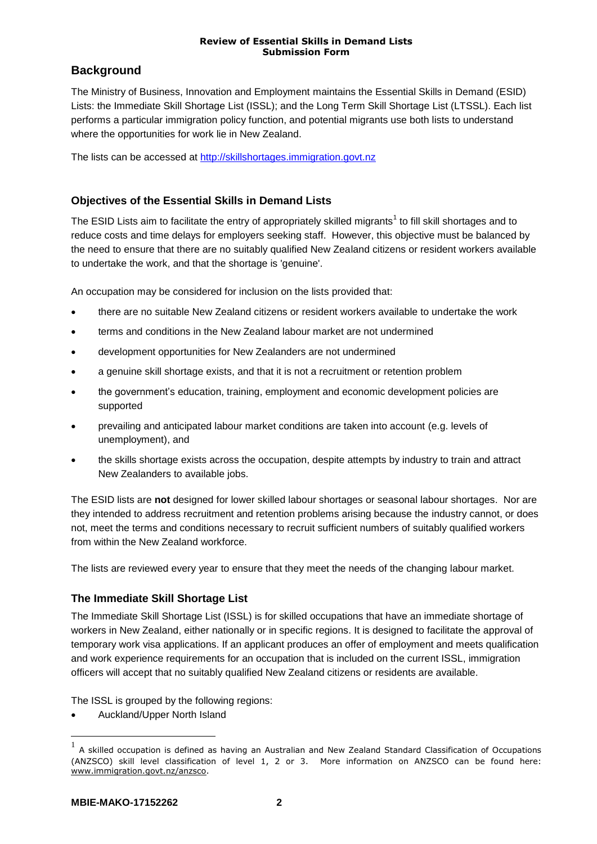# **Background**

The Ministry of Business, Innovation and Employment maintains the Essential Skills in Demand (ESID) Lists: the Immediate Skill Shortage List (ISSL); and the Long Term Skill Shortage List (LTSSL). Each list performs a particular immigration policy function, and potential migrants use both lists to understand where the opportunities for work lie in New Zealand.

The lists can be accessed at [http://skillshortages.immigration.govt.nz](http://skillshortages.immigration.govt.nz/)

# **Objectives of the Essential Skills in Demand Lists**

The ESID Lists aim to facilitate the entry of appropriately skilled migrants<sup>1</sup> to fill skill shortages and to reduce costs and time delays for employers seeking staff. However, this objective must be balanced by the need to ensure that there are no suitably qualified New Zealand citizens or resident workers available to undertake the work, and that the shortage is 'genuine'.

An occupation may be considered for inclusion on the lists provided that:

- there are no suitable New Zealand citizens or resident workers available to undertake the work
- terms and conditions in the New Zealand labour market are not undermined
- development opportunities for New Zealanders are not undermined
- a genuine skill shortage exists, and that it is not a recruitment or retention problem
- the government's education, training, employment and economic development policies are supported
- prevailing and anticipated labour market conditions are taken into account (e.g. levels of unemployment), and
- the skills shortage exists across the occupation, despite attempts by industry to train and attract New Zealanders to available jobs.

The ESID lists are **not** designed for lower skilled labour shortages or seasonal labour shortages. Nor are they intended to address recruitment and retention problems arising because the industry cannot, or does not, meet the terms and conditions necessary to recruit sufficient numbers of suitably qualified workers from within the New Zealand workforce.

The lists are reviewed every year to ensure that they meet the needs of the changing labour market.

# **The Immediate Skill Shortage List**

The Immediate Skill Shortage List (ISSL) is for skilled occupations that have an immediate shortage of workers in New Zealand, either nationally or in specific regions. It is designed to facilitate the approval of temporary work visa applications. If an applicant produces an offer of employment and meets qualification and work experience requirements for an occupation that is included on the current ISSL, immigration officers will accept that no suitably qualified New Zealand citizens or residents are available.

The ISSL is grouped by the following regions:

Auckland/Upper North Island

 $\overline{a}$ 

<sup>1</sup> A skilled occupation is defined as having an Australian and New Zealand Standard Classification of Occupations (ANZSCO) skill level classification of level 1, 2 or 3. More information on ANZSCO can be found here: [www.immigration.govt.nz/anzsco.](http://www.immigration.govt.nz/anzsco)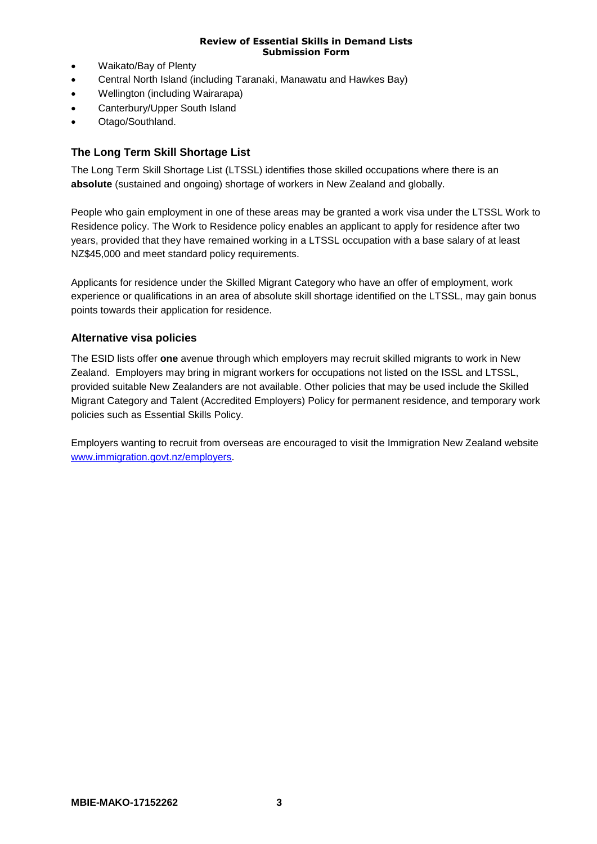- Waikato/Bay of Plenty
- Central North Island (including Taranaki, Manawatu and Hawkes Bay)
- Wellington (including Wairarapa)
- Canterbury/Upper South Island
- Otago/Southland.

# **The Long Term Skill Shortage List**

The Long Term Skill Shortage List (LTSSL) identifies those skilled occupations where there is an **absolute** (sustained and ongoing) shortage of workers in New Zealand and globally.

People who gain employment in one of these areas may be granted a work visa under the LTSSL Work to Residence policy. The Work to Residence policy enables an applicant to apply for residence after two years, provided that they have remained working in a LTSSL occupation with a base salary of at least NZ\$45,000 and meet standard policy requirements.

Applicants for residence under the Skilled Migrant Category who have an offer of employment, work experience or qualifications in an area of absolute skill shortage identified on the LTSSL, may gain bonus points towards their application for residence.

# **Alternative visa policies**

The ESID lists offer **one** avenue through which employers may recruit skilled migrants to work in New Zealand. Employers may bring in migrant workers for occupations not listed on the ISSL and LTSSL, provided suitable New Zealanders are not available. Other policies that may be used include the Skilled Migrant Category and Talent (Accredited Employers) Policy for permanent residence, and temporary work policies such as Essential Skills Policy.

Employers wanting to recruit from overseas are encouraged to visit the Immigration New Zealand website [www.immigration.govt.nz/employers.](http://www.immigration.govt.nz/employers)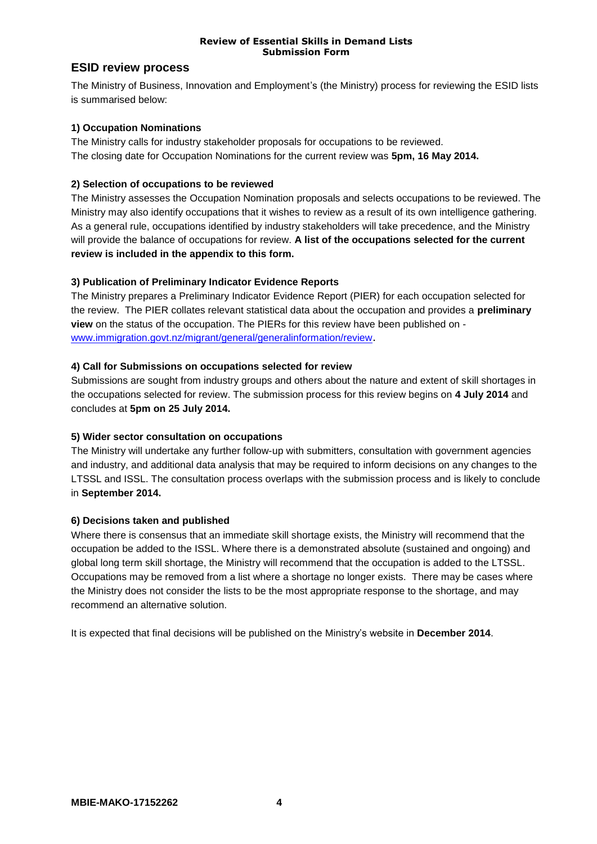# **ESID review process**

The Ministry of Business, Innovation and Employment's (the Ministry) process for reviewing the ESID lists is summarised below:

## **1) Occupation Nominations**

The Ministry calls for industry stakeholder proposals for occupations to be reviewed. The closing date for Occupation Nominations for the current review was **5pm, 16 May 2014.**

## **2) Selection of occupations to be reviewed**

The Ministry assesses the Occupation Nomination proposals and selects occupations to be reviewed. The Ministry may also identify occupations that it wishes to review as a result of its own intelligence gathering. As a general rule, occupations identified by industry stakeholders will take precedence, and the Ministry will provide the balance of occupations for review. **A list of the occupations selected for the current review is included in the appendix to this form.**

## **3) Publication of Preliminary Indicator Evidence Reports**

The Ministry prepares a Preliminary Indicator Evidence Report (PIER) for each occupation selected for the review. The PIER collates relevant statistical data about the occupation and provides a **preliminary view** on the status of the occupation. The PIERs for this review have been published on [www.immigration.govt.nz/migrant/general/generalinformation/review](http://www.immigration.govt.nz/migrant/general/generalinformation/review).

## **4) Call for Submissions on occupations selected for review**

Submissions are sought from industry groups and others about the nature and extent of skill shortages in the occupations selected for review. The submission process for this review begins on **4 July 2014** and concludes at **5pm on 25 July 2014.**

## **5) Wider sector consultation on occupations**

The Ministry will undertake any further follow-up with submitters, consultation with government agencies and industry, and additional data analysis that may be required to inform decisions on any changes to the LTSSL and ISSL. The consultation process overlaps with the submission process and is likely to conclude in **September 2014.**

## **6) Decisions taken and published**

Where there is consensus that an immediate skill shortage exists, the Ministry will recommend that the occupation be added to the ISSL. Where there is a demonstrated absolute (sustained and ongoing) and global long term skill shortage, the Ministry will recommend that the occupation is added to the LTSSL. Occupations may be removed from a list where a shortage no longer exists. There may be cases where the Ministry does not consider the lists to be the most appropriate response to the shortage, and may recommend an alternative solution.

It is expected that final decisions will be published on the Ministry's website in **December 2014**.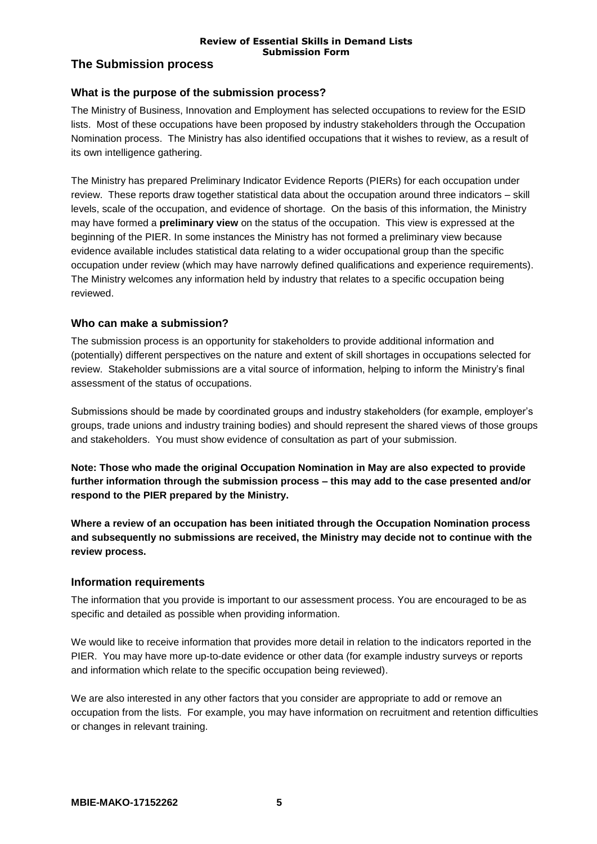# **The Submission process**

# **What is the purpose of the submission process?**

The Ministry of Business, Innovation and Employment has selected occupations to review for the ESID lists. Most of these occupations have been proposed by industry stakeholders through the Occupation Nomination process. The Ministry has also identified occupations that it wishes to review, as a result of its own intelligence gathering.

The Ministry has prepared Preliminary Indicator Evidence Reports (PIERs) for each occupation under review. These reports draw together statistical data about the occupation around three indicators – skill levels, scale of the occupation, and evidence of shortage. On the basis of this information, the Ministry may have formed a **preliminary view** on the status of the occupation. This view is expressed at the beginning of the PIER. In some instances the Ministry has not formed a preliminary view because evidence available includes statistical data relating to a wider occupational group than the specific occupation under review (which may have narrowly defined qualifications and experience requirements). The Ministry welcomes any information held by industry that relates to a specific occupation being reviewed.

# **Who can make a submission?**

The submission process is an opportunity for stakeholders to provide additional information and (potentially) different perspectives on the nature and extent of skill shortages in occupations selected for review. Stakeholder submissions are a vital source of information, helping to inform the Ministry's final assessment of the status of occupations.

Submissions should be made by coordinated groups and industry stakeholders (for example, employer's groups, trade unions and industry training bodies) and should represent the shared views of those groups and stakeholders. You must show evidence of consultation as part of your submission.

**Note: Those who made the original Occupation Nomination in May are also expected to provide further information through the submission process – this may add to the case presented and/or respond to the PIER prepared by the Ministry.**

**Where a review of an occupation has been initiated through the Occupation Nomination process and subsequently no submissions are received, the Ministry may decide not to continue with the review process.**

# **Information requirements**

The information that you provide is important to our assessment process. You are encouraged to be as specific and detailed as possible when providing information.

We would like to receive information that provides more detail in relation to the indicators reported in the PIER. You may have more up-to-date evidence or other data (for example industry surveys or reports and information which relate to the specific occupation being reviewed).

We are also interested in any other factors that you consider are appropriate to add or remove an occupation from the lists. For example, you may have information on recruitment and retention difficulties or changes in relevant training.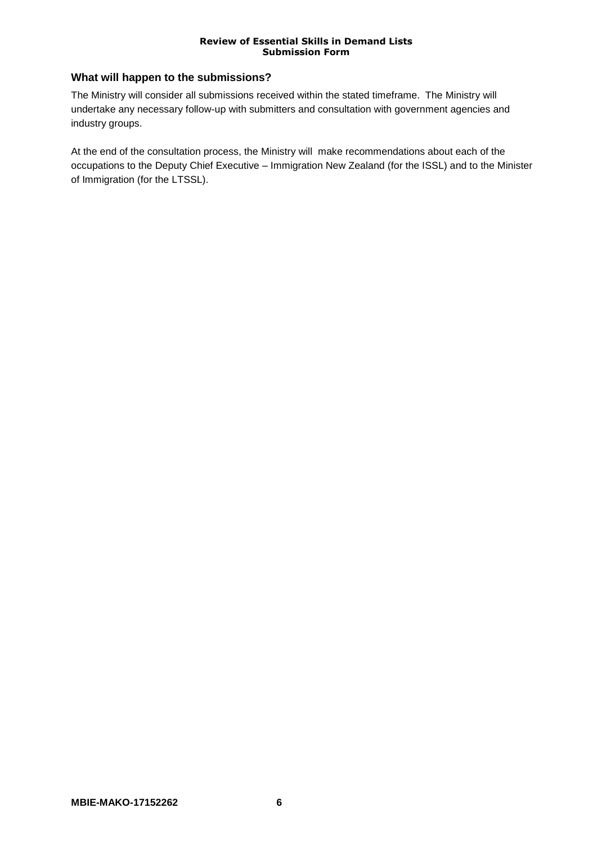# **What will happen to the submissions?**

The Ministry will consider all submissions received within the stated timeframe. The Ministry will undertake any necessary follow-up with submitters and consultation with government agencies and industry groups.

At the end of the consultation process, the Ministry will make recommendations about each of the occupations to the Deputy Chief Executive – Immigration New Zealand (for the ISSL) and to the Minister of Immigration (for the LTSSL).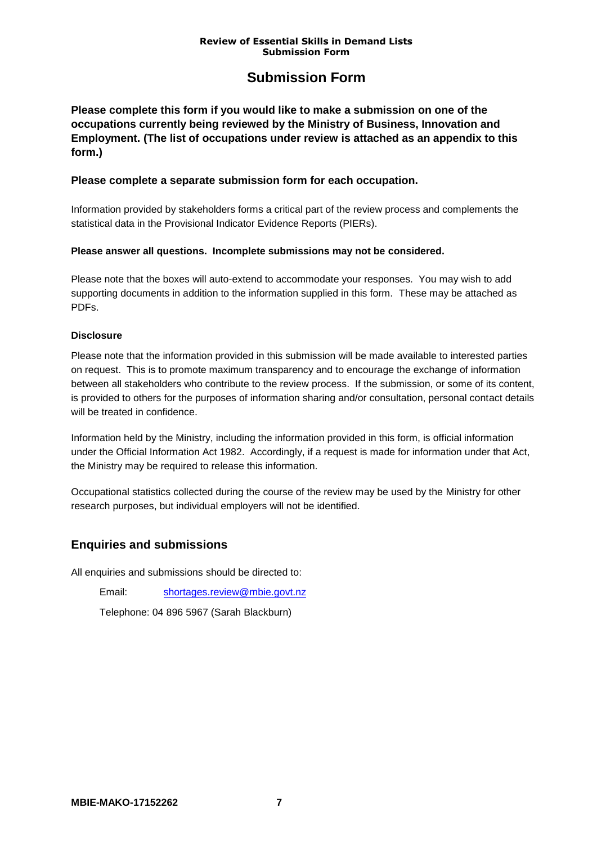# **Submission Form**

**Please complete this form if you would like to make a submission on one of the occupations currently being reviewed by the Ministry of Business, Innovation and Employment. (The list of occupations under review is attached as an appendix to this form.)**

## **Please complete a separate submission form for each occupation.**

Information provided by stakeholders forms a critical part of the review process and complements the statistical data in the Provisional Indicator Evidence Reports (PIERs).

# **Please answer all questions. Incomplete submissions may not be considered.**

Please note that the boxes will auto-extend to accommodate your responses. You may wish to add supporting documents in addition to the information supplied in this form. These may be attached as PDFs.

## **Disclosure**

Please note that the information provided in this submission will be made available to interested parties on request. This is to promote maximum transparency and to encourage the exchange of information between all stakeholders who contribute to the review process. If the submission, or some of its content, is provided to others for the purposes of information sharing and/or consultation, personal contact details will be treated in confidence.

Information held by the Ministry, including the information provided in this form, is official information under the Official Information Act 1982. Accordingly, if a request is made for information under that Act, the Ministry may be required to release this information.

Occupational statistics collected during the course of the review may be used by the Ministry for other research purposes, but individual employers will not be identified.

# **Enquiries and submissions**

All enquiries and submissions should be directed to:

Email: [shortages.review@mbie.govt.nz](mailto:shortages.review@mbie.govt.nz)

Telephone: 04 896 5967 (Sarah Blackburn)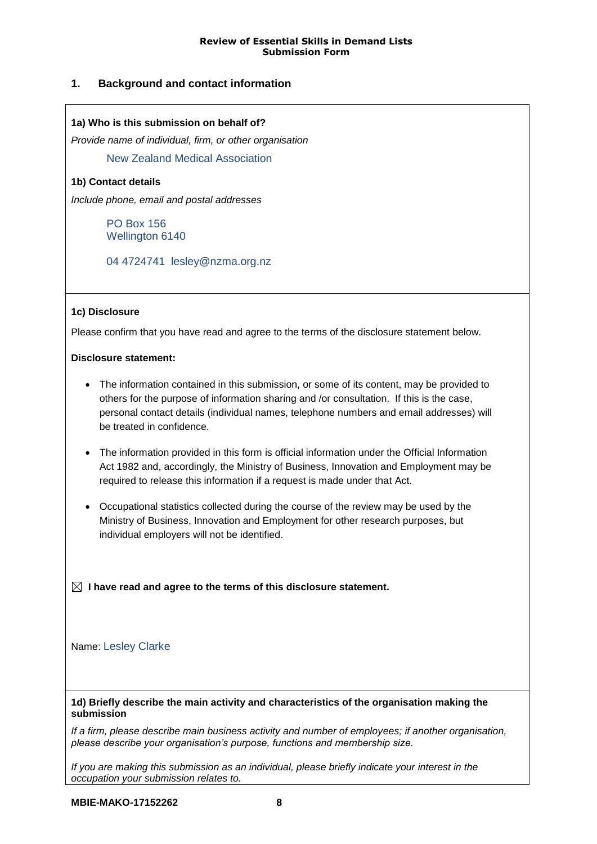# **1. Background and contact information**

## **1a) Who is this submission on behalf of?**

*Provide name of individual, firm, or other organisation*

New Zealand Medical Association

## **1b) Contact details**

*Include phone, email and postal addresses*

PO Box 156 Wellington 6140

04 4724741 lesley@nzma.org.nz

## **1c) Disclosure**

Please confirm that you have read and agree to the terms of the disclosure statement below.

#### **Disclosure statement:**

- The information contained in this submission, or some of its content, may be provided to others for the purpose of information sharing and /or consultation. If this is the case, personal contact details (individual names, telephone numbers and email addresses) will be treated in confidence.
- The information provided in this form is official information under the Official Information Act 1982 and, accordingly, the Ministry of Business, Innovation and Employment may be required to release this information if a request is made under that Act.
- Occupational statistics collected during the course of the review may be used by the Ministry of Business, Innovation and Employment for other research purposes, but individual employers will not be identified.

 **I have read and agree to the terms of this disclosure statement.**

## Name: Lesley Clarke

#### **1d) Briefly describe the main activity and characteristics of the organisation making the submission**

*If a firm, please describe main business activity and number of employees; if another organisation, please describe your organisation's purpose, functions and membership size.*

*If you are making this submission as an individual, please briefly indicate your interest in the occupation your submission relates to.*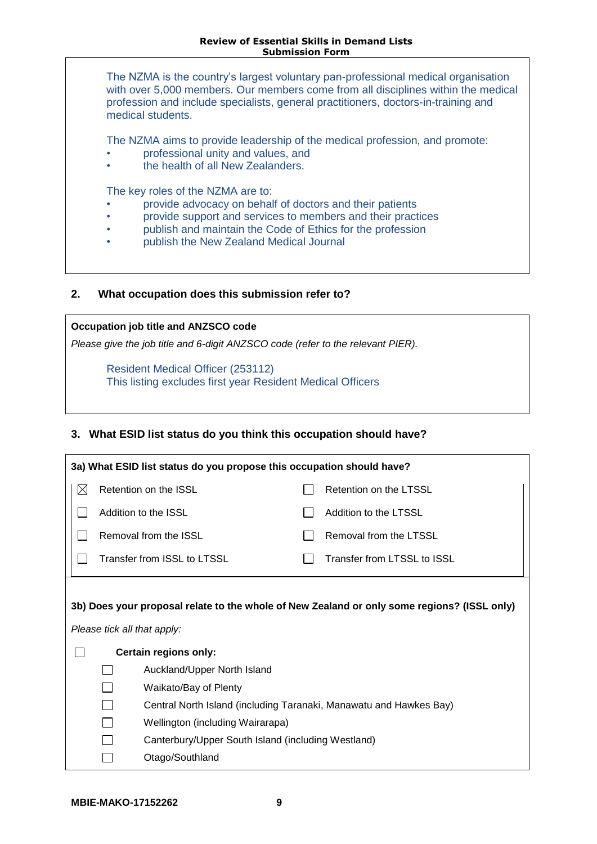The NZMA is the country's largest voluntary pan-professional medical organisation with over 5,000 members. Our members come from all disciplines within the medical profession and include specialists, general practitioners, doctors-in-training and medical students.

The NZMA aims to provide leadership of the medical profession, and promote:

- professional unity and values, and
- the health of all New Zealanders.

The key roles of the NZMA are to:

- provide advocacy on behalf of doctors and their patients
- provide support and services to members and their practices
- publish and maintain the Code of Ethics for the profession
- publish the New Zealand Medical Journal

## **2. What occupation does this submission refer to?**

**Occupation job title and ANZSCO code**

*Please give the job title and 6-digit ANZSCO code (refer to the relevant PIER).*

Resident Medical Officer (253112) This listing excludes first year Resident Medical Officers

# **3. What ESID list status do you think this occupation should have?**

| 3a) What ESID list status do you propose this occupation should have?                                                      |                       |                                                                    |  |                             |  |  |  |  |
|----------------------------------------------------------------------------------------------------------------------------|-----------------------|--------------------------------------------------------------------|--|-----------------------------|--|--|--|--|
| $\boxtimes$                                                                                                                | Retention on the ISSL |                                                                    |  | Retention on the LTSSL      |  |  |  |  |
|                                                                                                                            |                       | Addition to the ISSL                                               |  | Addition to the LTSSL       |  |  |  |  |
|                                                                                                                            | Removal from the ISSL |                                                                    |  | Removal from the LTSSL      |  |  |  |  |
|                                                                                                                            |                       | Transfer from ISSL to LTSSL                                        |  | Transfer from LTSSL to ISSL |  |  |  |  |
| 3b) Does your proposal relate to the whole of New Zealand or only some regions? (ISSL only)<br>Please tick all that apply: |                       |                                                                    |  |                             |  |  |  |  |
|                                                                                                                            | Certain regions only: |                                                                    |  |                             |  |  |  |  |
|                                                                                                                            |                       | Auckland/Upper North Island                                        |  |                             |  |  |  |  |
|                                                                                                                            |                       | Waikato/Bay of Plenty                                              |  |                             |  |  |  |  |
|                                                                                                                            |                       | Central North Island (including Taranaki, Manawatu and Hawkes Bay) |  |                             |  |  |  |  |
|                                                                                                                            |                       | Wellington (including Wairarapa)                                   |  |                             |  |  |  |  |
|                                                                                                                            |                       | Canterbury/Upper South Island (including Westland)                 |  |                             |  |  |  |  |
|                                                                                                                            |                       | Otago/Southland                                                    |  |                             |  |  |  |  |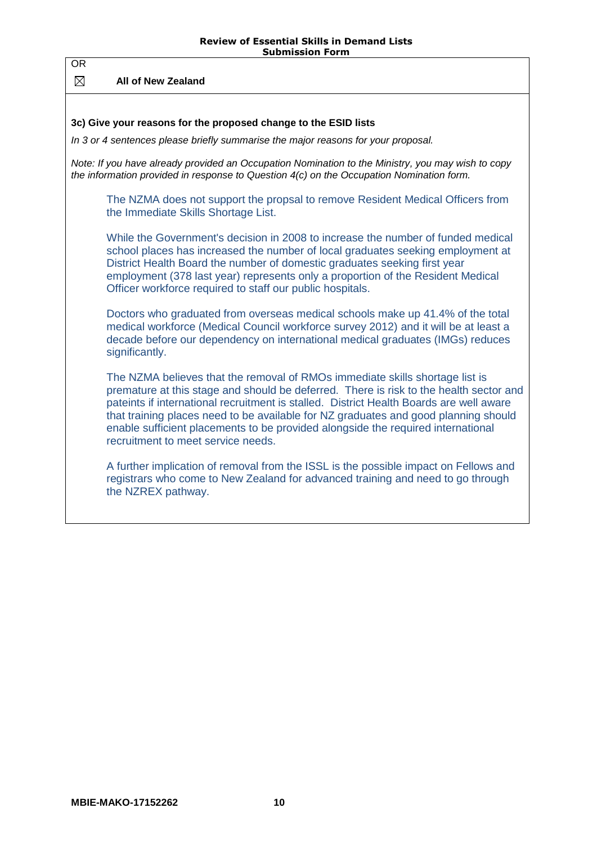**All of New Zealand**

OR

## **3c) Give your reasons for the proposed change to the ESID lists**

*In 3 or 4 sentences please briefly summarise the major reasons for your proposal.*

*Note: If you have already provided an Occupation Nomination to the Ministry, you may wish to copy the information provided in response to Question 4(c) on the Occupation Nomination form.*

The NZMA does not support the propsal to remove Resident Medical Officers from the Immediate Skills Shortage List.

While the Government's decision in 2008 to increase the number of funded medical school places has increased the number of local graduates seeking employment at District Health Board the number of domestic graduates seeking first year employment (378 last year) represents only a proportion of the Resident Medical Officer workforce required to staff our public hospitals.

Doctors who graduated from overseas medical schools make up 41.4% of the total medical workforce (Medical Council workforce survey 2012) and it will be at least a decade before our dependency on international medical graduates (IMGs) reduces significantly.

The NZMA believes that the removal of RMOs immediate skills shortage list is premature at this stage and should be deferred. There is risk to the health sector and pateints if international recruitment is stalled. District Health Boards are well aware that training places need to be available for NZ graduates and good planning should enable sufficient placements to be provided alongside the required international recruitment to meet service needs.

A further implication of removal from the ISSL is the possible impact on Fellows and registrars who come to New Zealand for advanced training and need to go through the NZREX pathway.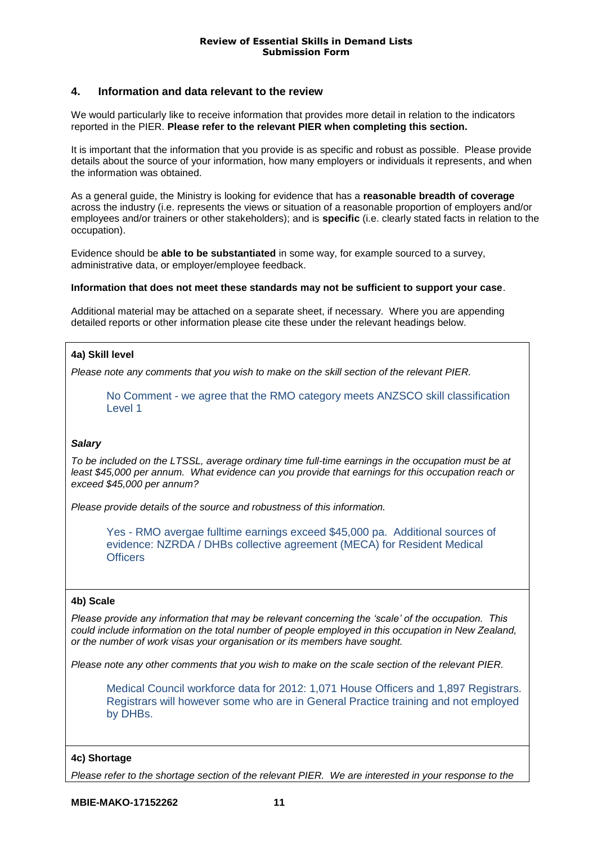# **4. Information and data relevant to the review**

We would particularly like to receive information that provides more detail in relation to the indicators reported in the PIER. **Please refer to the relevant PIER when completing this section.**

It is important that the information that you provide is as specific and robust as possible. Please provide details about the source of your information, how many employers or individuals it represents, and when the information was obtained.

As a general guide, the Ministry is looking for evidence that has a **reasonable breadth of coverage** across the industry (i.e. represents the views or situation of a reasonable proportion of employers and/or employees and/or trainers or other stakeholders); and is **specific** (i.e. clearly stated facts in relation to the occupation).

Evidence should be **able to be substantiated** in some way, for example sourced to a survey, administrative data, or employer/employee feedback.

#### **Information that does not meet these standards may not be sufficient to support your case**.

Additional material may be attached on a separate sheet, if necessary.Where you are appending detailed reports or other information please cite these under the relevant headings below.

## **4a) Skill level**

*Please note any comments that you wish to make on the skill section of the relevant PIER.*

No Comment - we agree that the RMO category meets ANZSCO skill classification Level 1

#### *Salary*

*To be included on the LTSSL, average ordinary time full-time earnings in the occupation must be at least \$45,000 per annum. What evidence can you provide that earnings for this occupation reach or exceed \$45,000 per annum?* 

*Please provide details of the source and robustness of this information.* 

Yes - RMO avergae fulltime earnings exceed \$45,000 pa. Additional sources of evidence: NZRDA / DHBs collective agreement (MECA) for Resident Medical **Officers** 

#### **4b) Scale**

*Please provide any information that may be relevant concerning the 'scale' of the occupation. This could include information on the total number of people employed in this occupation in New Zealand, or the number of work visas your organisation or its members have sought.* 

*Please note any other comments that you wish to make on the scale section of the relevant PIER.*

Medical Council workforce data for 2012: 1,071 House Officers and 1,897 Registrars. Registrars will however some who are in General Practice training and not employed by DHBs.

#### **4c) Shortage**

*Please refer to the shortage section of the relevant PIER. We are interested in your response to the*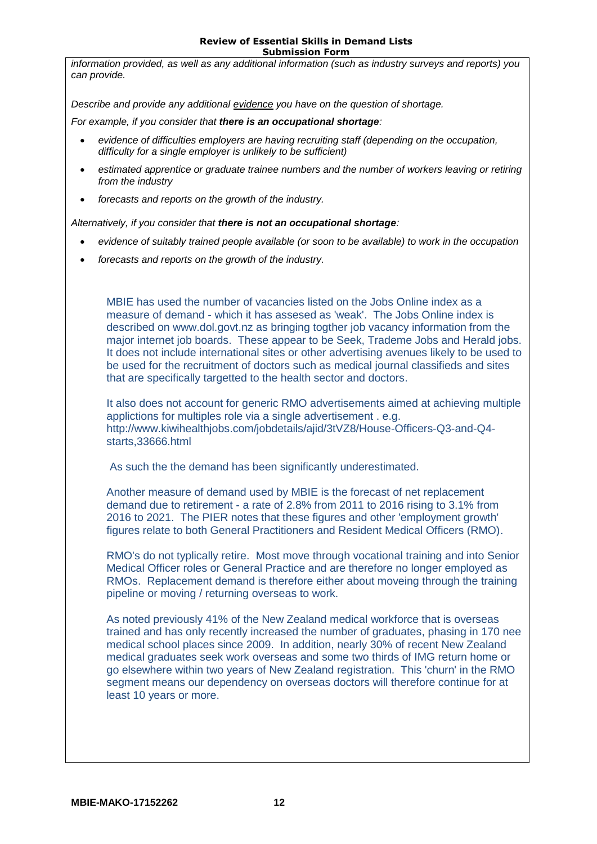*information provided, as well as any additional information (such as industry surveys and reports) you can provide.*

*Describe and provide any additional evidence you have on the question of shortage.* 

*For example, if you consider that there is an occupational shortage:*

- *evidence of difficulties employers are having recruiting staff (depending on the occupation, difficulty for a single employer is unlikely to be sufficient)*
- *estimated apprentice or graduate trainee numbers and the number of workers leaving or retiring from the industry*
- *forecasts and reports on the growth of the industry.*

*Alternatively, if you consider that there is not an occupational shortage:*

- *evidence of suitably trained people available (or soon to be available) to work in the occupation*
- *forecasts and reports on the growth of the industry.*

MBIE has used the number of vacancies listed on the Jobs Online index as a measure of demand - which it has assesed as 'weak'. The Jobs Online index is described on www.dol.govt.nz as bringing togther job vacancy information from the major internet job boards. These appear to be Seek, Trademe Jobs and Herald jobs. It does not include international sites or other advertising avenues likely to be used to be used for the recruitment of doctors such as medical journal classifieds and sites that are specifically targetted to the health sector and doctors.

It also does not account for generic RMO advertisements aimed at achieving multiple applictions for multiples role via a single advertisement . e.g. http://www.kiwihealthjobs.com/jobdetails/ajid/3tVZ8/House-Officers-Q3-and-Q4 starts,33666.html

As such the the demand has been significantly underestimated.

Another measure of demand used by MBIE is the forecast of net replacement demand due to retirement - a rate of 2.8% from 2011 to 2016 rising to 3.1% from 2016 to 2021. The PIER notes that these figures and other 'employment growth' figures relate to both General Practitioners and Resident Medical Officers (RMO).

RMO's do not typlically retire. Most move through vocational training and into Senior Medical Officer roles or General Practice and are therefore no longer employed as RMOs. Replacement demand is therefore either about moveing through the training pipeline or moving / returning overseas to work.

As noted previously 41% of the New Zealand medical workforce that is overseas trained and has only recently increased the number of graduates, phasing in 170 nee medical school places since 2009. In addition, nearly 30% of recent New Zealand medical graduates seek work overseas and some two thirds of IMG return home or go elsewhere within two years of New Zealand registration. This 'churn' in the RMO segment means our dependency on overseas doctors will therefore continue for at least 10 years or more.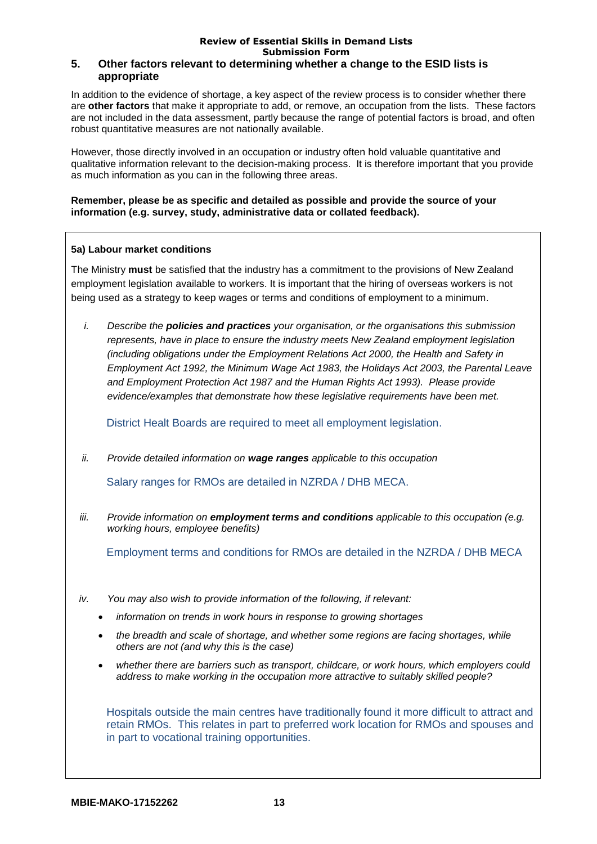#### **Review of Essential Skills in Demand Lists Submission Form 5. Other factors relevant to determining whether a change to the ESID lists is appropriate**

In addition to the evidence of shortage, a key aspect of the review process is to consider whether there are **other factors** that make it appropriate to add, or remove, an occupation from the lists. These factors are not included in the data assessment, partly because the range of potential factors is broad, and often robust quantitative measures are not nationally available.

However, those directly involved in an occupation or industry often hold valuable quantitative and qualitative information relevant to the decision-making process. It is therefore important that you provide as much information as you can in the following three areas.

**Remember, please be as specific and detailed as possible and provide the source of your information (e.g. survey, study, administrative data or collated feedback).** 

## **5a) Labour market conditions**

The Ministry **must** be satisfied that the industry has a commitment to the provisions of New Zealand employment legislation available to workers. It is important that the hiring of overseas workers is not being used as a strategy to keep wages or terms and conditions of employment to a minimum.

*i. Describe the policies and practices your organisation, or the organisations this submission represents, have in place to ensure the industry meets New Zealand employment legislation (including obligations under the Employment Relations Act 2000, the Health and Safety in Employment Act 1992, the Minimum Wage Act 1983, the Holidays Act 2003, the Parental Leave and Employment Protection Act 1987 and the Human Rights Act 1993). Please provide evidence/examples that demonstrate how these legislative requirements have been met.*

District Healt Boards are required to meet all employment legislation.

*ii. Provide detailed information on wage ranges applicable to this occupation*

Salary ranges for RMOs are detailed in NZRDA / DHB MECA.

*iii. Provide information on employment terms and conditions applicable to this occupation (e.g. working hours, employee benefits)*

Employment terms and conditions for RMOs are detailed in the NZRDA / DHB MECA

- *iv. You may also wish to provide information of the following, if relevant:*
	- *information on trends in work hours in response to growing shortages*
	- *the breadth and scale of shortage, and whether some regions are facing shortages, while others are not (and why this is the case)*
	- *whether there are barriers such as transport, childcare, or work hours, which employers could address to make working in the occupation more attractive to suitably skilled people?*

Hospitals outside the main centres have traditionally found it more difficult to attract and retain RMOs. This relates in part to preferred work location for RMOs and spouses and in part to vocational training opportunities.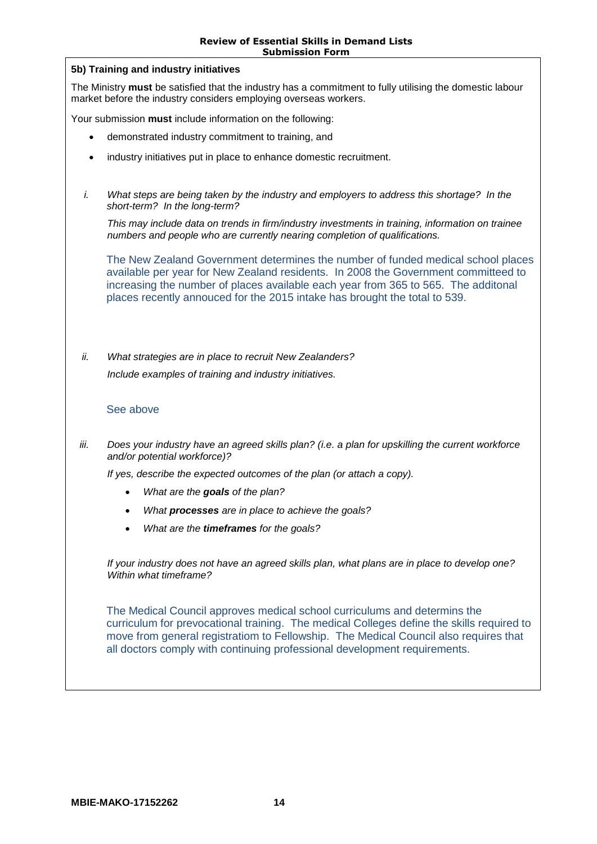|      | <b>JUUIIIISIUII FUIIII</b>                                                                                                                                                                                                                                                                                                                  |  |  |  |
|------|---------------------------------------------------------------------------------------------------------------------------------------------------------------------------------------------------------------------------------------------------------------------------------------------------------------------------------------------|--|--|--|
|      | 5b) Training and industry initiatives                                                                                                                                                                                                                                                                                                       |  |  |  |
|      | The Ministry must be satisfied that the industry has a commitment to fully utilising the domestic labour<br>market before the industry considers employing overseas workers.                                                                                                                                                                |  |  |  |
|      | Your submission must include information on the following:                                                                                                                                                                                                                                                                                  |  |  |  |
|      | demonstrated industry commitment to training, and                                                                                                                                                                                                                                                                                           |  |  |  |
|      | industry initiatives put in place to enhance domestic recruitment.                                                                                                                                                                                                                                                                          |  |  |  |
| i.   | What steps are being taken by the industry and employers to address this shortage? In the<br>short-term? In the long-term?                                                                                                                                                                                                                  |  |  |  |
|      | This may include data on trends in firm/industry investments in training, information on trainee<br>numbers and people who are currently nearing completion of qualifications.                                                                                                                                                              |  |  |  |
|      | The New Zealand Government determines the number of funded medical school places<br>available per year for New Zealand residents. In 2008 the Government committeed to<br>increasing the number of places available each year from 365 to 565. The additonal<br>places recently annouced for the 2015 intake has brought the total to 539.  |  |  |  |
| ii.  | What strategies are in place to recruit New Zealanders?<br>Include examples of training and industry initiatives.                                                                                                                                                                                                                           |  |  |  |
|      | See above                                                                                                                                                                                                                                                                                                                                   |  |  |  |
| iii. | Does your industry have an agreed skills plan? (i.e. a plan for upskilling the current workforce<br>and/or potential workforce)?                                                                                                                                                                                                            |  |  |  |
|      | If yes, describe the expected outcomes of the plan (or attach a copy).                                                                                                                                                                                                                                                                      |  |  |  |
|      | What are the goals of the plan?                                                                                                                                                                                                                                                                                                             |  |  |  |
|      | What processes are in place to achieve the goals?                                                                                                                                                                                                                                                                                           |  |  |  |
|      | What are the <b>timeframes</b> for the goals?                                                                                                                                                                                                                                                                                               |  |  |  |
|      | If your industry does not have an agreed skills plan, what plans are in place to develop one?<br>Within what timeframe?                                                                                                                                                                                                                     |  |  |  |
|      | The Medical Council approves medical school curriculums and determins the<br>curriculum for prevocational training. The medical Colleges define the skills required to<br>move from general registratiom to Fellowship. The Medical Council also requires that<br>all doctors comply with continuing professional development requirements. |  |  |  |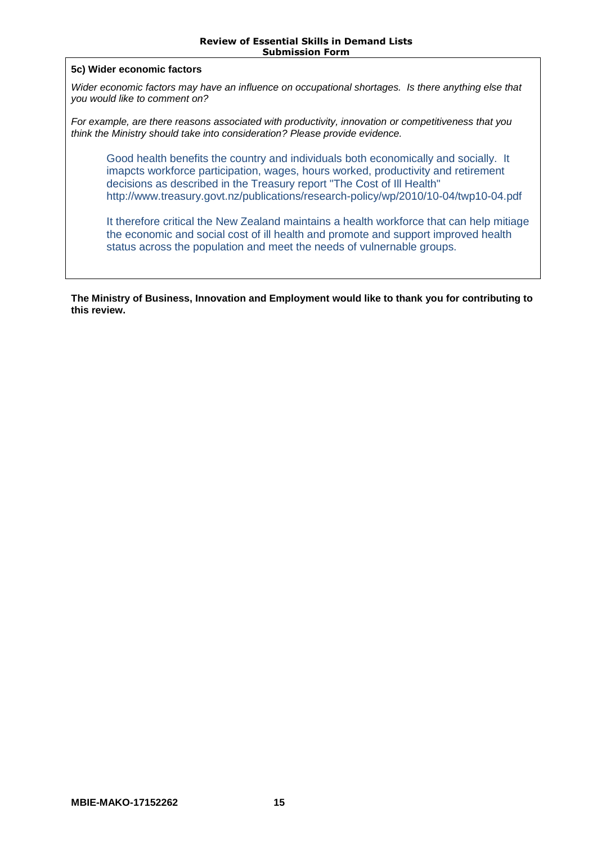#### **5c) Wider economic factors**

*Wider economic factors may have an influence on occupational shortages. Is there anything else that you would like to comment on?*

*For example, are there reasons associated with productivity, innovation or competitiveness that you think the Ministry should take into consideration? Please provide evidence.*

Good health benefits the country and individuals both economically and socially. It imapcts workforce participation, wages, hours worked, productivity and retirement decisions as described in the Treasury report "The Cost of Ill Health" http://www.treasury.govt.nz/publications/research-policy/wp/2010/10-04/twp10-04.pdf

It therefore critical the New Zealand maintains a health workforce that can help mitiage the economic and social cost of ill health and promote and support improved health status across the population and meet the needs of vulnernable groups.

**The Ministry of Business, Innovation and Employment would like to thank you for contributing to this review.**